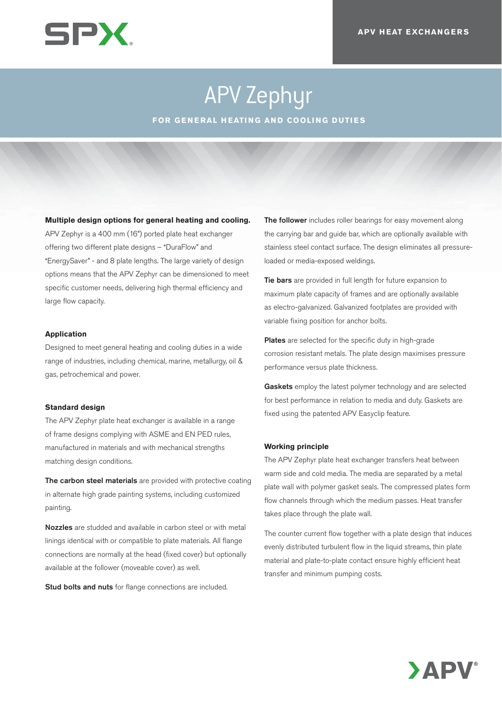

# APV Zephyr

**FOR GENERAL HEATING AND COOLING DUTIES**

### **Multiple design options for general heating and cooling.**

APV Zephyr is a 400 mm (16") ported plate heat exchanger offering two different plate designs – "DuraFlow" and "EnergySaver" - and 8 plate lengths. The large variety of design options means that the APV Zephyr can be dimensioned to meet specific customer needs, delivering high thermal efficiency and large flow capacity.

#### **Application**

Designed to meet general heating and cooling duties in a wide range of industries, including chemical, marine, metallurgy, oil & gas, petrochemical and power.

#### **Standard design**

The APV Zephyr plate heat exchanger is available in a range of frame designs complying with ASME and EN PED rules, manufactured in materials and with mechanical strengths matching design conditions.

The carbon steel materials are provided with protective coating in alternate high grade painting systems, including customized painting.

Nozzles are studded and available in carbon steel or with metal linings identical with or compatible to plate materials. All flange connections are normally at the head (fixed cover) but optionally available at the follower (moveable cover) as well.

Stud bolts and nuts for flange connections are included.

The follower includes roller bearings for easy movement along the carrying bar and guide bar, which are optionally available with stainless steel contact surface. The design eliminates all pressureloaded or media-exposed weldings.

Tie bars are provided in full length for future expansion to maximum plate capacity of frames and are optionally available as electro-galvanized. Galvanized footplates are provided with variable fixing position for anchor bolts.

Plates are selected for the specific duty in high-grade corrosion resistant metals. The plate design maximises pressure performance versus plate thickness.

Gaskets employ the latest polymer technology and are selected for best performance in relation to media and duty. Gaskets are fixed using the patented APV Easyclip feature.

#### **Working principle**

The APV Zephyr plate heat exchanger transfers heat between warm side and cold media. The media are separated by a metal plate wall with polymer gasket seals. The compressed plates form flow channels through which the medium passes. Heat transfer takes place through the plate wall.

The counter current flow together with a plate design that induces evenly distributed turbulent flow in the liquid streams, thin plate material and plate-to-plate contact ensure highly efficient heat transfer and minimum pumping costs.